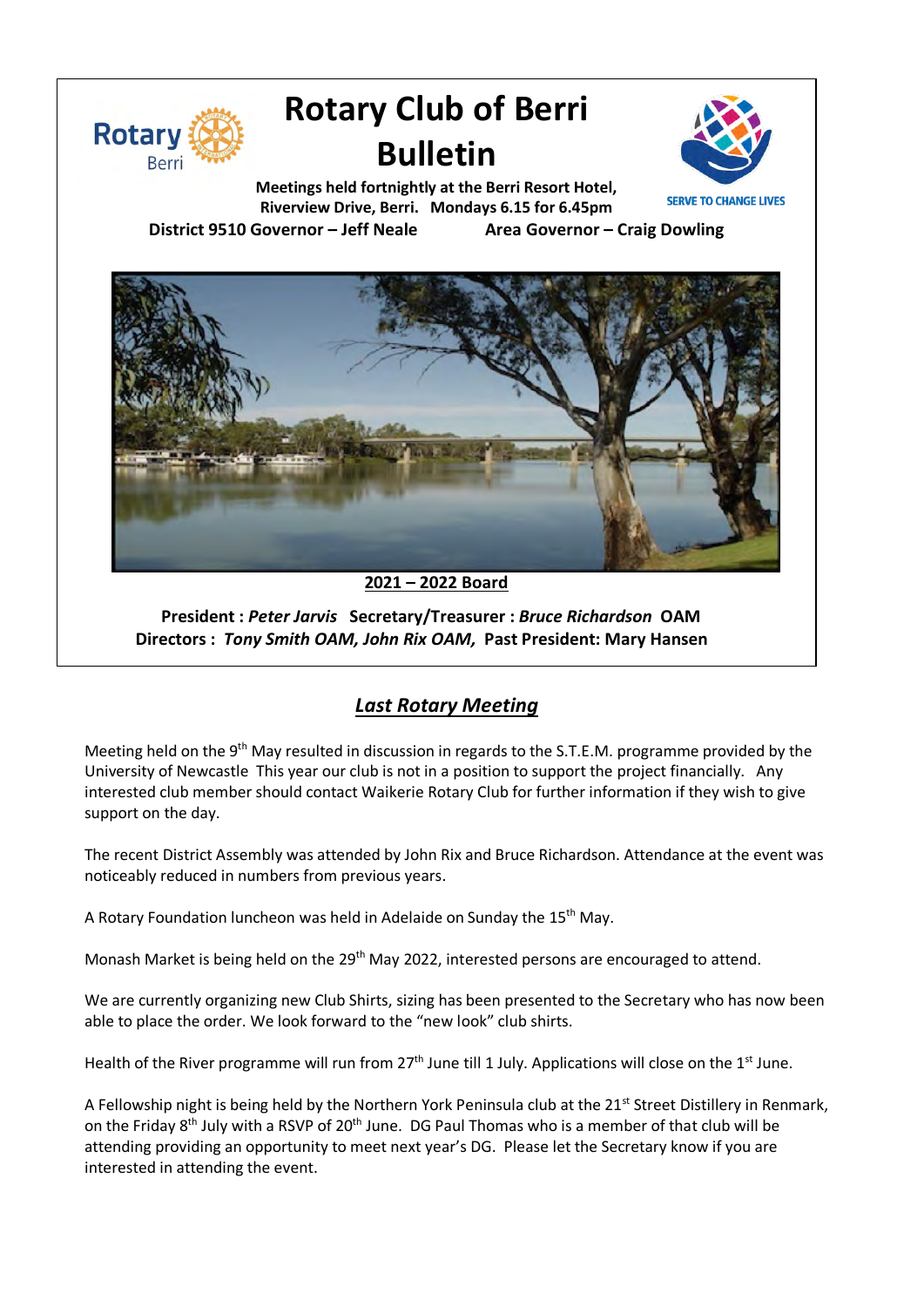

# **Rotary Club of Berri Bulletin**



**Meetings held fortnightly at the Berri Resort Hotel, Riverview Drive, Berri. Mondays 6.15 for 6.45pm**

**District 9510 Governor – Jeff Neale Area Governor – Craig Dowling**



**2021 – 2022 Board**

**President :** *Peter Jarvis* **Secretary/Treasurer :** *Bruce Richardson* **OAM Directors :** *Tony Smith OAM, John Rix OAM,* **Past President: Mary Hansen**

# *Last Rotary Meeting*

Meeting held on the 9<sup>th</sup> May resulted in discussion in regards to the S.T.E.M. programme provided by the University of Newcastle This year our club is not in a position to support the project financially. Any interested club member should contact Waikerie Rotary Club for further information if they wish to give support on the day.

The recent District Assembly was attended by John Rix and Bruce Richardson. Attendance at the event was noticeably reduced in numbers from previous years.

A Rotary Foundation luncheon was held in Adelaide on Sunday the 15<sup>th</sup> May.

Monash Market is being held on the 29<sup>th</sup> May 2022, interested persons are encouraged to attend.

We are currently organizing new Club Shirts, sizing has been presented to the Secretary who has now been able to place the order. We look forward to the "new look" club shirts.

Health of the River programme will run from  $27<sup>th</sup>$  June till 1 July. Applications will close on the 1<sup>st</sup> June.

A Fellowship night is being held by the Northern York Peninsula club at the 21<sup>st</sup> Street Distillery in Renmark, on the Friday 8<sup>th</sup> July with a RSVP of 20<sup>th</sup> June. DG Paul Thomas who is a member of that club will be attending providing an opportunity to meet next year's DG. Please let the Secretary know if you are interested in attending the event.